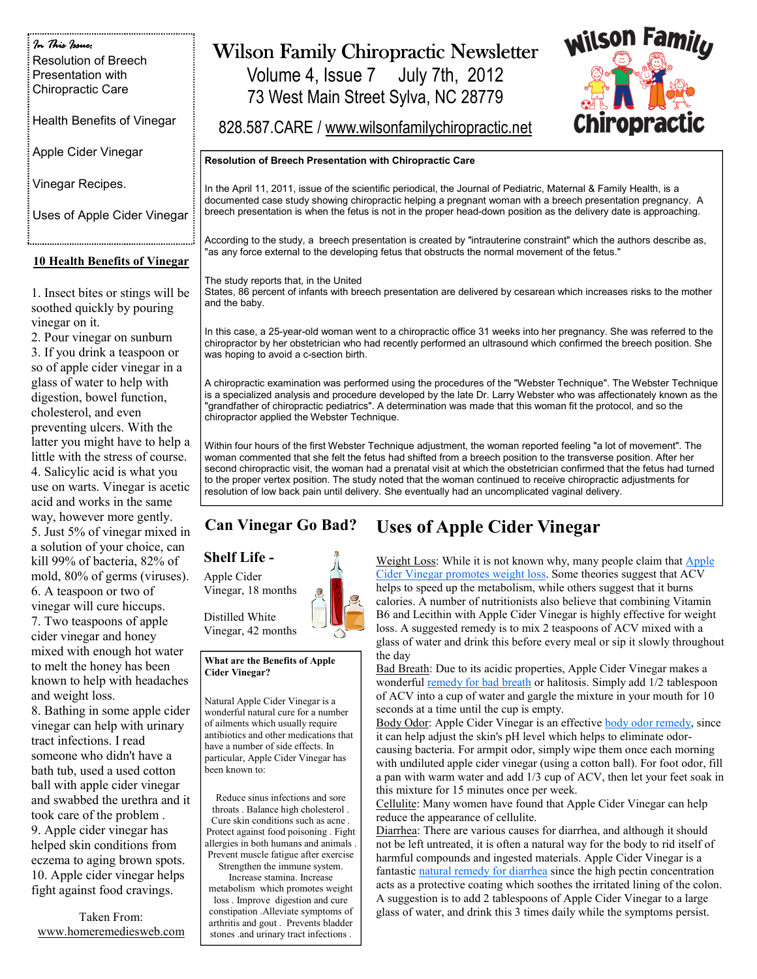In This Issue: In This Issue: Resolution of Breech Presentation with Chiropractic Care

Health Benefits of Vinegar

Apple Cider Vinegar

Vinegar Recipes.

Uses of Apple Cider Vinegar

### 10 Health Benefits of Vinegar

1. Insect bites or stings will be soothed quickly by pouring vinegar on it.

2. Pour vinegar on sunburn 3. If you drink a teaspoon or so of apple cider vinegar in a glass of water to help with digestion, bowel function, cholesterol, and even preventing ulcers. With the latter you might have to help a little with the stress of course. 4. Salicylic acid is what you use on warts. Vinegar is acetic acid and works in the same way, however more gently. 5. Just 5% of vinegar mixed in a solution of your choice, can kill 99% of bacteria, 82% of mold, 80% of germs (viruses). 6. A teaspoon or two of vinegar will cure hiccups. 7. Two teaspoons of apple cider vinegar and honey mixed with enough hot water to melt the honey has been known to help with headaches and weight loss.

8. Bathing in some apple cider vinegar can help with urinary tract infections. I read someone who didn't have a bath tub, used a used cotton ball with apple cider vinegar and swabbed the urethra and it took care of the problem . 9. Apple cider vinegar has helped skin conditions from eczema to aging brown spots. 10. Apple cider vinegar helps fight against food cravings.

Taken From: www.homeremediesweb.com

# Wilson Family Chiropractic Newsletter

Volume 4, Issue 7 July 7th, 2012 73 West Main Street Sylva, NC 28779



828.587.CARE / www.wilsonfamilychiropractic.net

#### Resolution of Breech Presentation with Chiropractic Care

In the April 11, 2011, issue of the scientific periodical, the Journal of Pediatric, Maternal & Family Health, is a documented case study showing chiropractic helping a pregnant woman with a breech presentation pregnancy. A breech presentation is when the fetus is not in the proper head-down position as the delivery date is approaching.

According to the study, a breech presentation is created by "intrauterine constraint" which the authors describe as, "as any force external to the developing fetus that obstructs the normal movement of the fetus."

#### The study reports that, in the United

States, 86 percent of infants with breech presentation are delivered by cesarean which increases risks to the mother and the baby.

In this case, a 25-year-old woman went to a chiropractic office 31 weeks into her pregnancy. She was referred to the chiropractor by her obstetrician who had recently performed an ultrasound which confirmed the breech position. She was hoping to avoid a c-section birth.

A chiropractic examination was performed using the procedures of the "Webster Technique". The Webster Technique is a specialized analysis and procedure developed by the late Dr. Larry Webster who was affectionately known as the "grandfather of chiropractic pediatrics". A determination was made that this woman fit the protocol, and so the chiropractor applied the Webster Technique.

Within four hours of the first Webster Technique adjustment, the woman reported feeling "a lot of movement". The woman commented that she felt the fetus had shifted from a breech position to the transverse position. After her second chiropractic visit, the woman had a prenatal visit at which the obstetrician confirmed that the fetus had turned to the proper vertex position. The study noted that the woman continued to receive chiropractic adjustments for resolution of low back pain until delivery. She eventually had an uncomplicated vaginal delivery.

#### Can Vinegar Go Bad? Uses of Apple Cider Vinegar

### Shelf Life -

Apple Cider Vinegar, 18 months

Distilled White Vinegar, 42 months

#### What are the Benefits of Apple Cider Vinegar?

Natural Apple Cider Vinegar is a wonderful natural cure for a number of ailments which usually require antibiotics and other medications that have a number of side effects. In particular, Apple Cider Vinegar has been known to:

Reduce sinus infections and sore throats . Balance high cholesterol . Cure skin conditions such as acne . Protect against food poisoning . Fight allergies in both humans and animals . Prevent muscle fatigue after exercise

Strengthen the immune system.

Increase stamina. Increase metabolism which promotes weight loss . Improve digestion and cure constipation .Alleviate symptoms of arthritis and gout . Prevents bladder stones .and urinary tract infections .

Weight Loss: While it is not known why, many people claim that Apple Cider Vinegar promotes weight loss. Some theories suggest that ACV helps to speed up the metabolism, while others suggest that it burns calories. A number of nutritionists also believe that combining Vitamin B6 and Lecithin with Apple Cider Vinegar is highly effective for weight loss. A suggested remedy is to mix 2 teaspoons of ACV mixed with a glass of water and drink this before every meal or sip it slowly throughout the day

Bad Breath: Due to its acidic properties, Apple Cider Vinegar makes a wonderful remedy for bad breath or halitosis. Simply add 1/2 tablespoon of ACV into a cup of water and gargle the mixture in your mouth for 10 seconds at a time until the cup is empty.

Body Odor: Apple Cider Vinegar is an effective body odor remedy, since it can help adjust the skin's pH level which helps to eliminate odorcausing bacteria. For armpit odor, simply wipe them once each morning with undiluted apple cider vinegar (using a cotton ball). For foot odor, fill a pan with warm water and add 1/3 cup of ACV, then let your feet soak in this mixture for 15 minutes once per week.

Cellulite: Many women have found that Apple Cider Vinegar can help reduce the appearance of cellulite.

Diarrhea: There are various causes for diarrhea, and although it should not be left untreated, it is often a natural way for the body to rid itself of harmful compounds and ingested materials. Apple Cider Vinegar is a fantastic natural remedy for diarrhea since the high pectin concentration acts as a protective coating which soothes the irritated lining of the colon. A suggestion is to add 2 tablespoons of Apple Cider Vinegar to a large glass of water, and drink this 3 times daily while the symptoms persist.